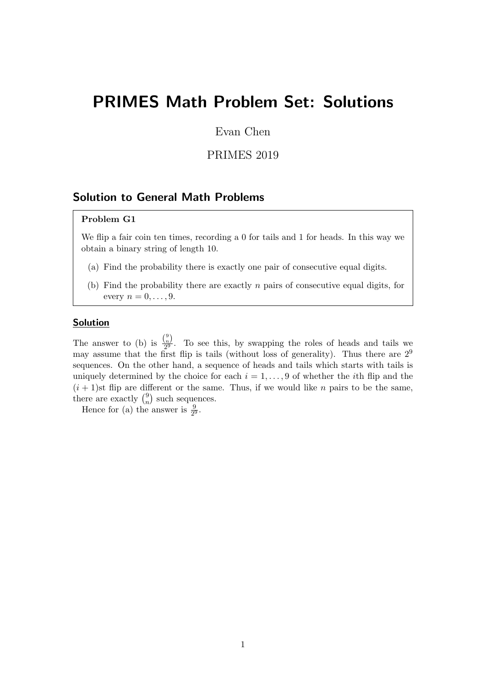# PRIMES Math Problem Set: Solutions

Evan Chen

PRIMES 2019

# Solution to General Math Problems

# Problem G1

We flip a fair coin ten times, recording a 0 for tails and 1 for heads. In this way we obtain a binary string of length 10.

- (a) Find the probability there is exactly one pair of consecutive equal digits.
- (b) Find the probability there are exactly  $n$  pairs of consecutive equal digits, for every  $n = 0, \ldots, 9$ .

# **Solution**

The answer to (b) is  $\frac{\binom{9}{n}}{2^9}$  $\frac{2^{n}}{2^{9}}$ . To see this, by swapping the roles of heads and tails we may assume that the first flip is tails (without loss of generality). Thus there are  $2^9$ sequences. On the other hand, a sequence of heads and tails which starts with tails is uniquely determined by the choice for each  $i = 1, \ldots, 9$  of whether the *i*th flip and the  $(i+1)$ st flip are different or the same. Thus, if we would like n pairs to be the same, there are exactly  $\binom{9}{n}$  $\binom{9}{n}$  such sequences.

Hence for (a) the answer is  $\frac{9}{2^9}$ .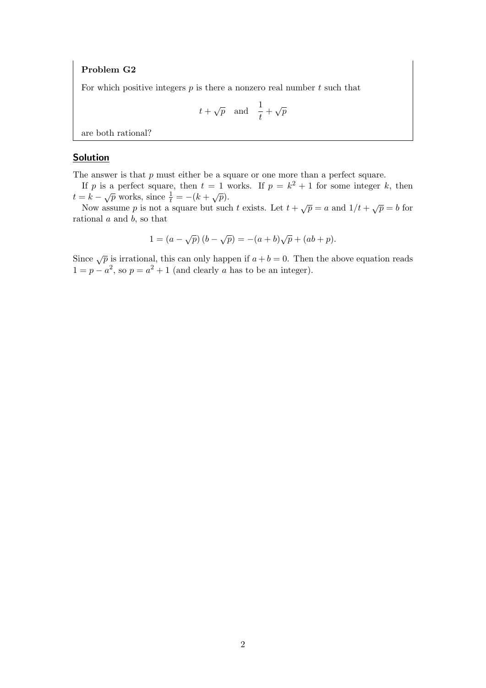For which positive integers  $p$  is there a nonzero real number  $t$  such that

$$
t + \sqrt{p}
$$
 and  $\frac{1}{t} + \sqrt{p}$ 

are both rational?

# Solution

The answer is that  $p$  must either be a square or one more than a perfect square.

If p is a perfect square, then  $t = 1$  works. If  $p = k^2 + 1$  for some integer k, then  $t = k - \sqrt{p}$  works, since  $\frac{1}{t} = -(k + \sqrt{p}).$ 

Now assume p is not a square but such t exists. Let  $t + \sqrt{p} = a$  and  $1/t + \sqrt{p} = b$  for rational  $a$  and  $b$ , so that

$$
1 = (a - \sqrt{p})(b - \sqrt{p}) = -(a + b)\sqrt{p} + (ab + p).
$$

Since  $\sqrt{p}$  is irrational, this can only happen if  $a + b = 0$ . Then the above equation reads  $1 = p - a^2$ , so  $p = a^2 + 1$  (and clearly a has to be an integer).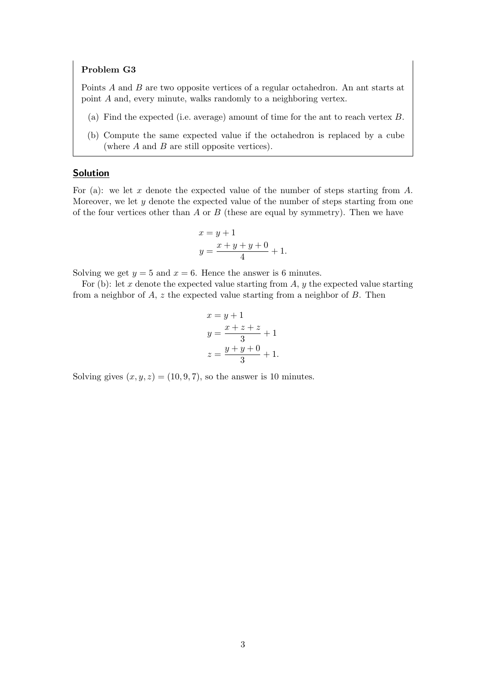Points A and B are two opposite vertices of a regular octahedron. An ant starts at point A and, every minute, walks randomly to a neighboring vertex.

- (a) Find the expected (i.e. average) amount of time for the ant to reach vertex B.
- (b) Compute the same expected value if the octahedron is replaced by a cube (where  $A$  and  $B$  are still opposite vertices).

# Solution

For (a): we let x denote the expected value of the number of steps starting from  $A$ . Moreover, we let  $y$  denote the expected value of the number of steps starting from one of the four vertices other than  $A$  or  $B$  (these are equal by symmetry). Then we have

$$
x = y + 1
$$
  

$$
y = \frac{x + y + y + 0}{4} + 1.
$$

Solving we get  $y = 5$  and  $x = 6$ . Hence the answer is 6 minutes.

For (b): let x denote the expected value starting from  $A, y$  the expected value starting from a neighbor of  $A$ ,  $z$  the expected value starting from a neighbor of  $B$ . Then

$$
x = y + 1
$$
  
\n
$$
y = \frac{x + z + z}{3} + 1
$$
  
\n
$$
z = \frac{y + y + 0}{3} + 1.
$$

Solving gives  $(x, y, z) = (10, 9, 7)$ , so the answer is 10 minutes.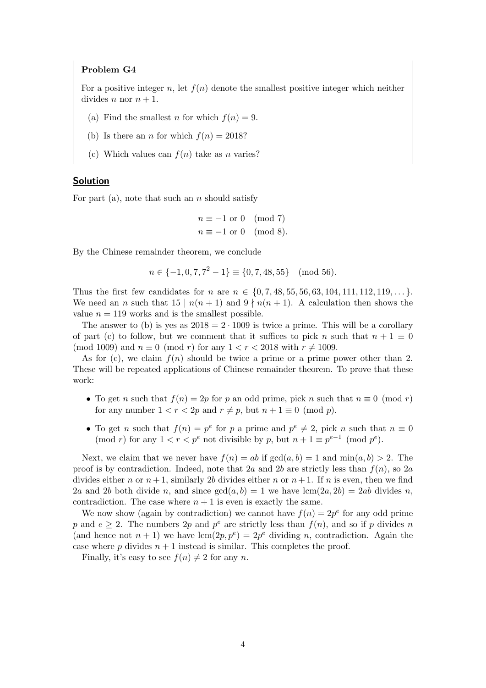For a positive integer n, let  $f(n)$  denote the smallest positive integer which neither divides *n* nor  $n + 1$ .

- (a) Find the smallest n for which  $f(n) = 9$ .
- (b) Is there an *n* for which  $f(n) = 2018$ ?
- (c) Which values can  $f(n)$  take as n varies?

#### Solution

For part (a), note that such an n should satisfy

$$
n \equiv -1 \text{ or } 0 \pmod{7}
$$
  

$$
n \equiv -1 \text{ or } 0 \pmod{8}.
$$

By the Chinese remainder theorem, we conclude

$$
n \in \{-1, 0, 7, 7^2 - 1\} \equiv \{0, 7, 48, 55\} \pmod{56}.
$$

Thus the first few candidates for n are  $n \in \{0, 7, 48, 55, 56, 63, 104, 111, 112, 119, \ldots\}$ . We need an n such that  $15 | n(n+1)$  and  $9 \nmid n(n+1)$ . A calculation then shows the value  $n = 119$  works and is the smallest possible.

The answer to (b) is yes as  $2018 = 2 \cdot 1009$  is twice a prime. This will be a corollary of part (c) to follow, but we comment that it suffices to pick n such that  $n + 1 \equiv 0$ (mod 1009) and  $n \equiv 0 \pmod{r}$  for any  $1 < r < 2018$  with  $r \neq 1009$ .

As for (c), we claim  $f(n)$  should be twice a prime or a prime power other than 2. These will be repeated applications of Chinese remainder theorem. To prove that these work:

- To get n such that  $f(n) = 2p$  for p an odd prime, pick n such that  $n \equiv 0 \pmod{r}$ for any number  $1 < r < 2p$  and  $r \neq p$ , but  $n + 1 \equiv 0 \pmod{p}$ .
- To get *n* such that  $f(n) = p^e$  for *p* a prime and  $p^e \neq 2$ , pick *n* such that  $n \equiv 0$ (mod r) for any  $1 < r < p^e$  not divisible by p, but  $n + 1 \equiv p^{e-1} \pmod{p^e}$ .

Next, we claim that we never have  $f(n) = ab$  if  $gcd(a, b) = 1$  and  $min(a, b) > 2$ . The proof is by contradiction. Indeed, note that 2a and 2b are strictly less than  $f(n)$ , so 2a divides either n or  $n+1$ , similarly 2b divides either n or  $n+1$ . If n is even, then we find 2a and 2b both divide n, and since  $gcd(a, b) = 1$  we have  $lcm(2a, 2b) = 2ab$  divides n, contradiction. The case where  $n + 1$  is even is exactly the same.

We now show (again by contradiction) we cannot have  $f(n) = 2p^e$  for any odd prime p and  $e \geq 2$ . The numbers 2p and  $p^e$  are strictly less than  $f(n)$ , and so if p divides n (and hence not  $n + 1$ ) we have  $lcm(2p, p^e) = 2p^e$  dividing n, contradiction. Again the case where p divides  $n + 1$  instead is similar. This completes the proof.

Finally, it's easy to see  $f(n) \neq 2$  for any n.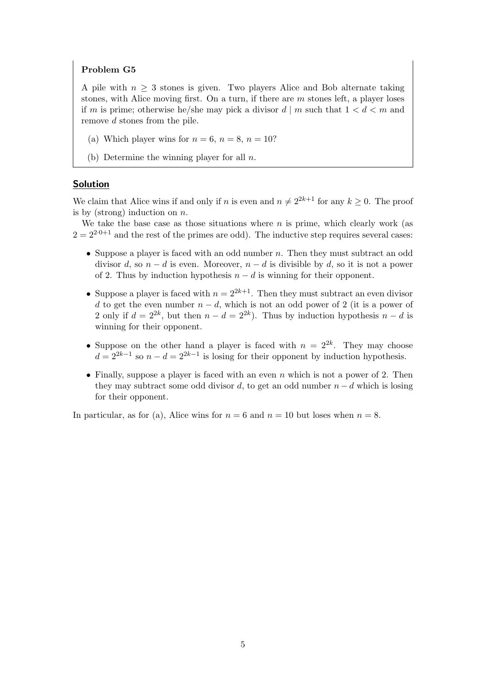A pile with  $n \geq 3$  stones is given. Two players Alice and Bob alternate taking stones, with Alice moving first. On a turn, if there are  $m$  stones left, a player loses if m is prime; otherwise he/she may pick a divisor  $d \mid m$  such that  $1 < d < m$  and remove d stones from the pile.

- (a) Which player wins for  $n = 6$ ,  $n = 8$ ,  $n = 10$ ?
- (b) Determine the winning player for all  $n$ .

## Solution

We claim that Alice wins if and only if n is even and  $n \neq 2^{2k+1}$  for any  $k \geq 0$ . The proof is by (strong) induction on  $n$ .

We take the base case as those situations where  $n$  is prime, which clearly work (as  $2 = 2^{2 \cdot 0 + 1}$  and the rest of the primes are odd). The inductive step requires several cases:

- Suppose a player is faced with an odd number n. Then they must subtract an odd divisor d, so  $n - d$  is even. Moreover,  $n - d$  is divisible by d, so it is not a power of 2. Thus by induction hypothesis  $n - d$  is winning for their opponent.
- Suppose a player is faced with  $n = 2^{2k+1}$ . Then they must subtract an even divisor d to get the even number  $n - d$ , which is not an odd power of 2 (it is a power of 2 only if  $d = 2^{2k}$ , but then  $n - d = 2^{2k}$ ). Thus by induction hypothesis  $n - d$  is winning for their opponent.
- Suppose on the other hand a player is faced with  $n = 2^{2k}$ . They may choose  $d = 2^{2k-1}$  so  $n - d = 2^{2k-1}$  is losing for their opponent by induction hypothesis.
- Finally, suppose a player is faced with an even  $n$  which is not a power of 2. Then they may subtract some odd divisor d, to get an odd number  $n - d$  which is losing for their opponent.

In particular, as for (a), Alice wins for  $n = 6$  and  $n = 10$  but loses when  $n = 8$ .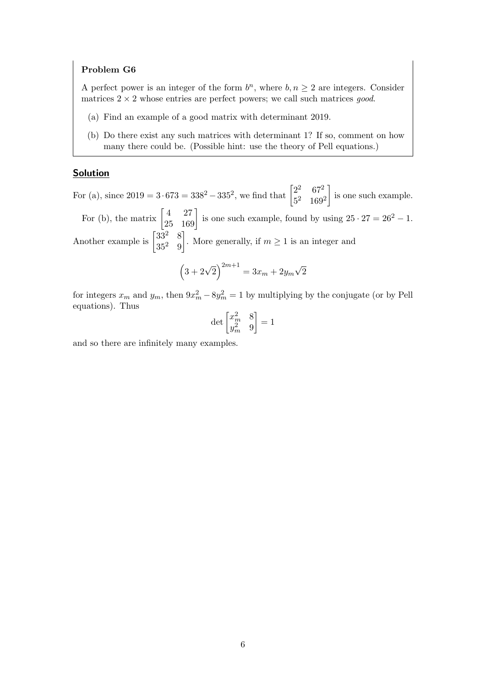A perfect power is an integer of the form  $b^n$ , where  $b, n \geq 2$  are integers. Consider matrices  $2 \times 2$  whose entries are perfect powers; we call such matrices good.

- (a) Find an example of a good matrix with determinant 2019.
- (b) Do there exist any such matrices with determinant 1? If so, comment on how many there could be. (Possible hint: use the theory of Pell equations.)

#### Solution

For (a), since  $2019 = 3.673 = 338^2 - 335^2$ , we find that  $\begin{bmatrix} 2^2 & 67^2 \\ 5 & 160^2 \end{bmatrix}$ 5 <sup>2</sup> 169<sup>2</sup> is one such example. For (b), the matrix  $\begin{bmatrix} 4 & 27 \\ 25 & 169 \end{bmatrix}$  is one such example, found by using  $25 \cdot 27 = 26^2 - 1$ . Another example is  $\begin{bmatrix} 33^2 & 8 \\ 252 & 0 \end{bmatrix}$  $35^2$  9 . More generally, if  $m \geq 1$  is an integer and √

$$
(3 + 2\sqrt{2})^{2m+1} = 3x_m + 2y_m\sqrt{2}
$$

for integers  $x_m$  and  $y_m$ , then  $9x_m^2 - 8y_m^2 = 1$  by multiplying by the conjugate (or by Pell equations). Thus

$$
\det \begin{bmatrix} x_m^2 & 8 \\ y_m^2 & 9 \end{bmatrix} = 1
$$

and so there are infinitely many examples.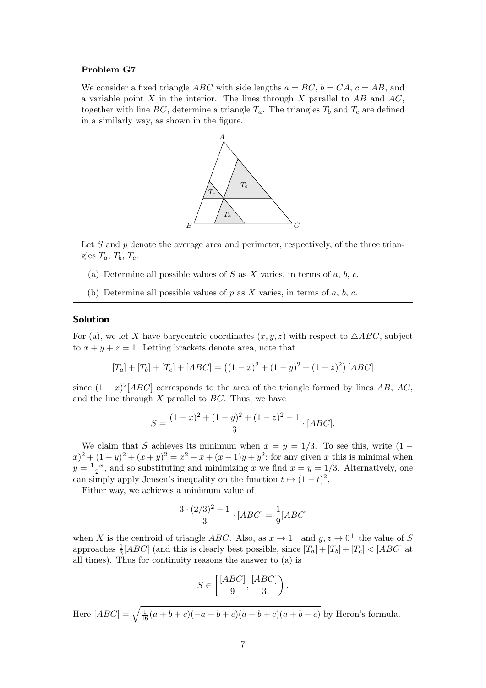We consider a fixed triangle *ABC* with side lengths  $a = BC$ ,  $b = CA$ ,  $c = AB$ , and a variable point X in the interior. The lines through X parallel to  $\overline{AB}$  and  $\overline{AC}$ , together with line  $\overline{BC}$ , determine a triangle  $T_a$ . The triangles  $T_b$  and  $T_c$  are defined in a similarly way, as shown in the figure.



Let  $S$  and  $p$  denote the average area and perimeter, respectively, of the three triangles  $T_a$ ,  $T_b$ ,  $T_c$ .

- (a) Determine all possible values of  $S$  as  $X$  varies, in terms of  $a, b, c$ .
- (b) Determine all possible values of p as X varies, in terms of a, b, c.

# Solution

For (a), we let X have barycentric coordinates  $(x, y, z)$  with respect to  $\triangle ABC$ , subject to  $x + y + z = 1$ . Letting brackets denote area, note that

$$
[T_a] + [T_b] + [T_c] + [ABC] = ((1 - x)^2 + (1 - y)^2 + (1 - z)^2) [ABC]
$$

since  $(1-x)^2[ABC]$  corresponds to the area of the triangle formed by lines AB, AC, and the line through X parallel to  $\overline{BC}$ . Thus, we have

$$
S = \frac{(1-x)^2 + (1-y)^2 + (1-z)^2 - 1}{3} \cdot [ABC].
$$

We claim that S achieves its minimum when  $x = y = 1/3$ . To see this, write  $(1 (x+2)^2 + (1-y)^2 + (x+y)^2 = x^2 - x + (x-1)y + y^2$ ; for any given x this is minimal when  $y=\frac{1-x}{2}$  $\frac{-x}{2}$ , and so substituting and minimizing x we find  $x = y = 1/3$ . Alternatively, one can simply apply Jensen's inequality on the function  $t \mapsto (1-t)^2$ ,

Either way, we achieves a minimum value of

$$
\frac{3 \cdot (2/3)^2 - 1}{3} \cdot [ABC] = \frac{1}{9} [ABC]
$$

when X is the centroid of triangle ABC. Also, as  $x \to 1^-$  and  $y, z \to 0^+$  the value of S approaches  $\frac{1}{3}[ABC]$  (and this is clearly best possible, since  $[T_a] + [T_b] + [T_c] < [ABC]$  at all times). Thus for continuity reasons the answer to (a) is

$$
S\in\left[\frac{[ABC]}{9},\frac{[ABC]}{3}\right).
$$

Here  $[ABC] = \sqrt{\frac{1}{16}(a+b+c)(-a+b+c)(a-b+c)(a+b-c)}$  by Heron's formula.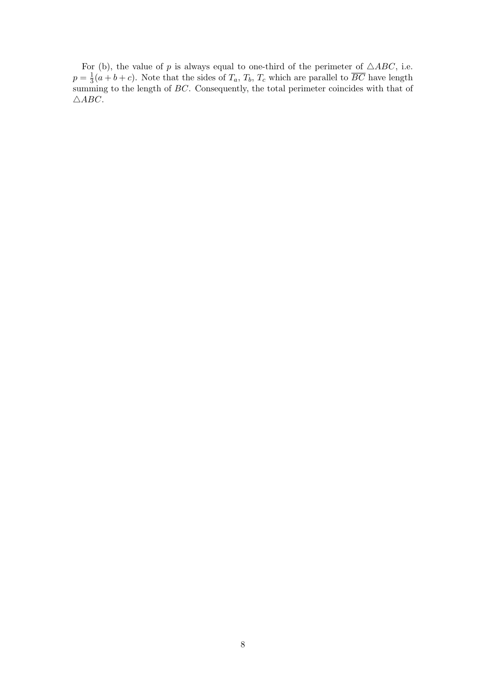For (b), the value of p is always equal to one-third of the perimeter of  $\triangle ABC$ , i.e.  $p=\frac{1}{3}$  $\frac{1}{3}(a+b+c)$ . Note that the sides of  $T_a$ ,  $T_b$ ,  $T_c$  which are parallel to  $BC$  have length summing to the length of BC. Consequently, the total perimeter coincides with that of  $\triangle ABC$ .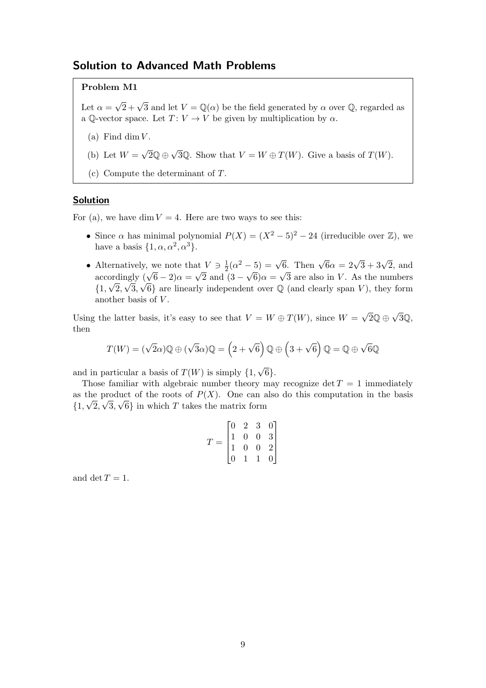# Solution to Advanced Math Problems

## Problem M1

Let  $\alpha =$  $\sqrt{2} + \sqrt{3}$  and let  $V = \mathbb{Q}(\alpha)$  be the field generated by  $\alpha$  over  $\mathbb{Q}$ , regarded as a Q-vector space. Let  $T: V \to V$  be given by multiplication by  $\alpha$ .

- (a) Find dim  $V$ .
- (b) Let  $W =$  $\sqrt{2}\mathbb{Q} \oplus \sqrt{3}\mathbb{Q}$ . Show that  $V = W \oplus T(W)$ . Give a basis of  $T(W)$ .
- (c) Compute the determinant of T.

# **Solution**

For (a), we have dim  $V = 4$ . Here are two ways to see this:

- Since  $\alpha$  has minimal polynomial  $P(X) = (X^2 5)^2 24$  (irreducible over  $\mathbb{Z}$ ), we have a basis  $\{1, \alpha, \alpha^2, \alpha^3\}.$
- Alternatively, we note that  $V \ni \frac{1}{2}$ at  $V \ni \frac{1}{2}(\alpha^2 - 5) = \sqrt{6}$ . Then  $\sqrt{6}\alpha = 2\sqrt{3} + 3\sqrt{2}$ , and Alternatively, we note that  $V = \frac{1}{2}(\alpha - 3) = \sqrt{6}$ . Then  $\sqrt{6\alpha} = 2\sqrt{3} + 3\sqrt{2}$ , and  $\alpha = 2\sqrt{3} + 3\sqrt{2}$ , and  $\alpha = \sqrt{2}$  and  $(3 - \sqrt{6})\alpha = \sqrt{3}$  are also in V. As the numbers  $\{1,\sqrt{2},\sqrt{3},\sqrt{6}\}\$ are linearly independent over  $\mathbb Q$  (and clearly span V), they form another basis of V.

Using the latter basis, it's easy to see that  $V = W \oplus T(W)$ , since  $W =$  $\sqrt{2} \mathbb{Q} \oplus \sqrt{3} \mathbb{Q},$ then

$$
T(W) = (\sqrt{2}\alpha)\mathbb{Q} \oplus (\sqrt{3}\alpha)\mathbb{Q} = (2 + \sqrt{6})\mathbb{Q} \oplus (3 + \sqrt{6})\mathbb{Q} = \mathbb{Q} \oplus \sqrt{6}\mathbb{Q}
$$

and in particular a basis of  $T(W)$  is simply  $\{1,$ √ 6}.

Those familiar with algebraic number theory may recognize det  $T = 1$  immediately as the product of the roots of  $P(X)$ . One can also do this computation in the basis  $\{1, \sqrt{2}, \sqrt{3}, \sqrt{6}\}\$ in which T takes the matrix form

$$
T = \begin{bmatrix} 0 & 2 & 3 & 0 \\ 1 & 0 & 0 & 3 \\ 1 & 0 & 0 & 2 \\ 0 & 1 & 1 & 0 \end{bmatrix}
$$

and det  $T = 1$ .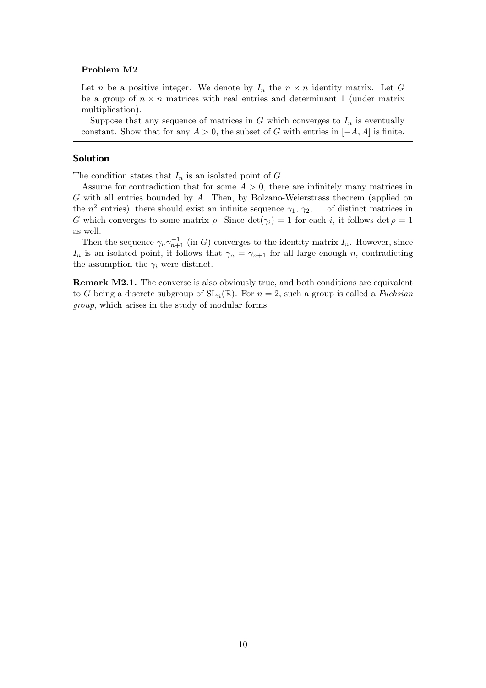Let n be a positive integer. We denote by  $I_n$  the  $n \times n$  identity matrix. Let G be a group of  $n \times n$  matrices with real entries and determinant 1 (under matrix multiplication).

Suppose that any sequence of matrices in  $G$  which converges to  $I_n$  is eventually constant. Show that for any  $A > 0$ , the subset of G with entries in  $[-A, A]$  is finite.

# Solution

The condition states that  $I_n$  is an isolated point of  $G$ .

Assume for contradiction that for some  $A > 0$ , there are infinitely many matrices in G with all entries bounded by A. Then, by Bolzano-Weierstrass theorem (applied on the  $n^2$  entries), there should exist an infinite sequence  $\gamma_1, \gamma_2, \ldots$  of distinct matrices in G which converges to some matrix  $\rho$ . Since  $\det(\gamma_i) = 1$  for each i, it follows  $\det \rho = 1$ as well.

Then the sequence  $\gamma_n \gamma_{n+1}^{-1}$  (in G) converges to the identity matrix  $I_n$ . However, since  $I_n$  is an isolated point, it follows that  $\gamma_n = \gamma_{n+1}$  for all large enough n, contradicting the assumption the  $\gamma_i$  were distinct.

Remark M2.1. The converse is also obviously true, and both conditions are equivalent to G being a discrete subgroup of  $SL_n(\mathbb{R})$ . For  $n = 2$ , such a group is called a *Fuchsian* group, which arises in the study of modular forms.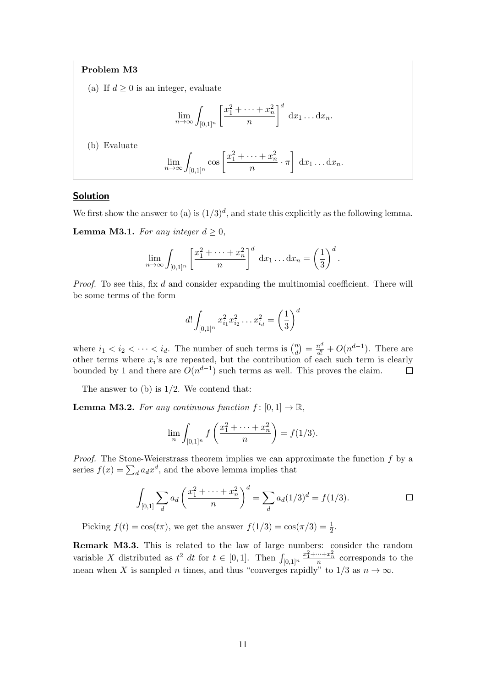(a) If  $d \geq 0$  is an integer, evaluate

$$
\lim_{n\to\infty}\int_{[0,1]^n}\left[\frac{x_1^2+\cdots+x_n^2}{n}\right]^d\,\mathrm{d}x_1\ldots\mathrm{d}x_n.
$$

(b) Evaluate

$$
\lim_{n \to \infty} \int_{[0,1]^n} \cos \left[\frac{x_1^2 + \dots + x_n^2}{n} \cdot \pi\right] dx_1 \dots dx_n.
$$

# Solution

We first show the answer to (a) is  $(1/3)^d$ , and state this explicitly as the following lemma.

**Lemma M3.1.** For any integer  $d \geq 0$ ,

$$
\lim_{n \to \infty} \int_{[0,1]^n} \left[ \frac{x_1^2 + \dots + x_n^2}{n} \right]^d \, \mathrm{d}x_1 \dots \mathrm{d}x_n = \left( \frac{1}{3} \right)^d.
$$

Proof. To see this, fix d and consider expanding the multinomial coefficient. There will be some terms of the form

$$
d! \int_{[0,1]^n} x_{i_1}^2 x_{i_2}^2 \dots x_{i_d}^2 = \left(\frac{1}{3}\right)^d
$$

where  $i_1 < i_2 < \cdots < i_d$ . The number of such terms is  $\binom{n}{d}$  $\binom{n}{d} = \frac{n^d}{d!} + O(n^{d-1}).$  There are other terms where  $x_i$ 's are repeated, but the contribution of each such term is clearly bounded by 1 and there are  $O(n^{d-1})$  such terms as well. This proves the claim.  $\Box$ 

The answer to  $(b)$  is  $1/2$ . We contend that:

**Lemma M3.2.** For any continuous function  $f : [0, 1] \rightarrow \mathbb{R}$ ,

$$
\lim_{n} \int_{[0,1]^{n}} f\left(\frac{x_1^2 + \dots + x_n^2}{n}\right) = f(1/3).
$$

*Proof.* The Stone-Weierstrass theorem implies we can approximate the function  $f$  by a series  $f(x) = \sum_{d} a_d x^d$ , and the above lemma implies that

$$
\int_{[0,1]} \sum_{d} a_d \left( \frac{x_1^2 + \dots + x_n^2}{n} \right)^d = \sum_{d} a_d (1/3)^d = f(1/3).
$$

Picking  $f(t) = \cos(t\pi)$ , we get the answer  $f(1/3) = \cos(\pi/3) = \frac{1}{2}$ .

Remark M3.3. This is related to the law of large numbers: consider the random variable X distributed as  $t^2$  dt for  $t \in [0,1]$ . Then  $\int_{[0,1]^n}$  $rac{x_1^2 + \dots + x_n^2}{n}$  corresponds to the mean when X is sampled n times, and thus "converges rapidly" to 1/3 as  $n \to \infty$ .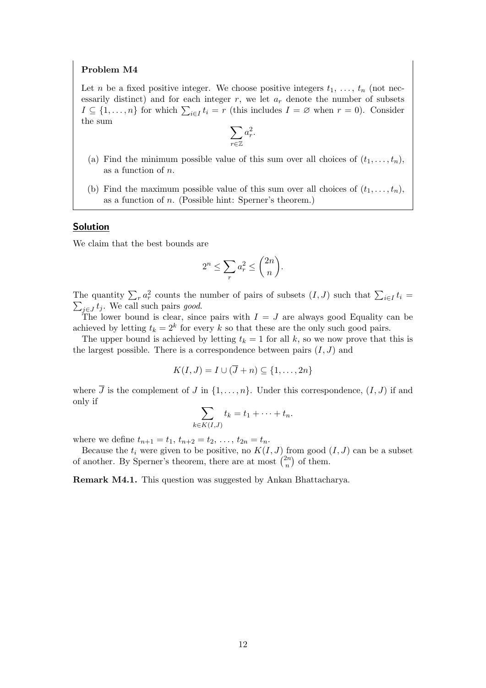Let n be a fixed positive integer. We choose positive integers  $t_1, \ldots, t_n$  (not necessarily distinct) and for each integer  $r$ , we let  $a_r$  denote the number of subsets  $I \subseteq \{1, \ldots, n\}$  for which  $\sum_{i \in I} t_i = r$  (this includes  $I = \emptyset$  when  $r = 0$ ). Consider the sum

$$
\sum_{r \in \mathbb{Z}} a_r^2.
$$

- (a) Find the minimum possible value of this sum over all choices of  $(t_1, \ldots, t_n)$ , as a function of n.
- (b) Find the maximum possible value of this sum over all choices of  $(t_1, \ldots, t_n)$ , as a function of n. (Possible hint: Sperner's theorem.)

#### Solution

We claim that the best bounds are

$$
2^n \le \sum_r a_r^2 \le \binom{2n}{n}.
$$

The quantity  $\sum_{r} a_r^2$  counts the number of pairs of subsets  $(I, J)$  such that  $\sum_{i \in I} t_i =$  $\sum_{j\in J} t_j$ . We call such pairs good.

The lower bound is clear, since pairs with  $I = J$  are always good Equality can be achieved by letting  $t_k = 2^k$  for every k so that these are the only such good pairs.

The upper bound is achieved by letting  $t_k = 1$  for all k, so we now prove that this is the largest possible. There is a correspondence between pairs  $(I, J)$  and

$$
K(I,J) = I \cup (\overline{J} + n) \subseteq \{1, \ldots, 2n\}
$$

where  $\overline{J}$  is the complement of  $J$  in  $\{1,\ldots,n\}$ . Under this correspondence,  $(I, J)$  if and only if

$$
\sum_{k \in K(I,J)} t_k = t_1 + \cdots + t_n.
$$

where we define  $t_{n+1} = t_1, t_{n+2} = t_2, \ldots, t_{2n} = t_n$ .

Because the  $t_i$  were given to be positive, no  $K(I, J)$  from good  $(I, J)$  can be a subset of another. By Sperner's theorem, there are at most  $\binom{2n}{n}$  $\binom{2n}{n}$  of them.

Remark M4.1. This question was suggested by Ankan Bhattacharya.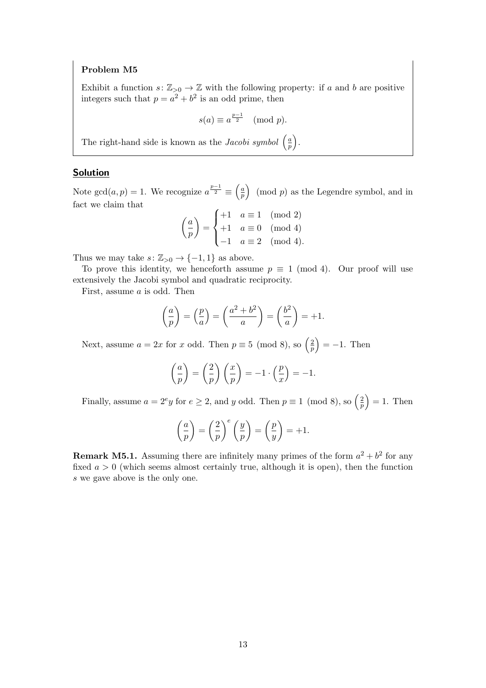Exhibit a function  $s: \mathbb{Z}_{>0} \to \mathbb{Z}$  with the following property: if a and b are positive integers such that  $p = a^2 + b^2$  is an odd prime, then

$$
s(a) \equiv a^{\frac{p-1}{2}} \pmod{p}.
$$

The right-hand side is known as the *Jacobi symbol*  $\left(\frac{a}{n}\right)$  $\frac{a}{p}$ .

## **Solution**

Note  $gcd(a, p) = 1$ . We recognize  $a^{\frac{p-1}{2}} \equiv \left(\frac{a}{p}\right)$  $\left(\frac{a}{p}\right)$  (mod p) as the Legendre symbol, and in fact we claim that

$$
\left(\frac{a}{p}\right) = \begin{cases} +1 & a \equiv 1 \pmod{2} \\ +1 & a \equiv 0 \pmod{4} \\ -1 & a \equiv 2 \pmod{4} \end{cases}
$$

Thus we may take  $s: \mathbb{Z}_{>0} \to \{-1,1\}$  as above.

To prove this identity, we henceforth assume  $p \equiv 1 \pmod{4}$ . Our proof will use extensively the Jacobi symbol and quadratic reciprocity.

First, assume a is odd. Then

$$
\left(\frac{a}{p}\right) = \left(\frac{p}{a}\right) = \left(\frac{a^2 + b^2}{a}\right) = \left(\frac{b^2}{a}\right) = +1.
$$

Next, assume  $a = 2x$  for x odd. Then  $p \equiv 5 \pmod{8}$ , so  $\left(\frac{2}{n}\right)$  $\left(\frac{2}{p}\right) = -1$ . Then

$$
\left(\frac{a}{p}\right) = \left(\frac{2}{p}\right)\left(\frac{x}{p}\right) = -1 \cdot \left(\frac{p}{x}\right) = -1.
$$

Finally, assume  $a = 2^e y$  for  $e \geq 2$ , and y odd. Then  $p \equiv 1 \pmod{8}$ , so  $\left(\frac{2}{r}\right)$  $\left(\frac{2}{p}\right) = 1$ . Then

$$
\left(\frac{a}{p}\right) = \left(\frac{2}{p}\right)^e \left(\frac{y}{p}\right) = \left(\frac{p}{y}\right) = +1.
$$

**Remark M5.1.** Assuming there are infinitely many primes of the form  $a^2 + b^2$  for any fixed  $a > 0$  (which seems almost certainly true, although it is open), then the function s we gave above is the only one.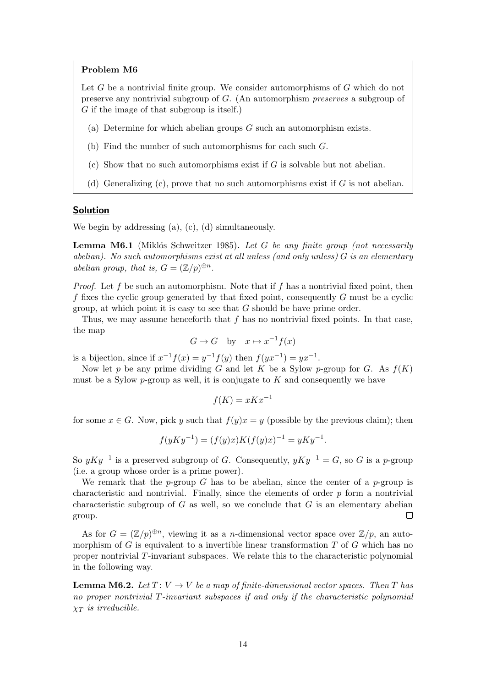Let  $G$  be a nontrivial finite group. We consider automorphisms of  $G$  which do not preserve any nontrivial subgroup of G. (An automorphism preserves a subgroup of G if the image of that subgroup is itself.)

- (a) Determine for which abelian groups  $G$  such an automorphism exists.
- (b) Find the number of such automorphisms for each such G.
- (c) Show that no such automorphisms exist if  $G$  is solvable but not abelian.
- (d) Generalizing (c), prove that no such automorphisms exist if  $G$  is not abelian.

# Solution

We begin by addressing (a), (c), (d) simultaneously.

**Lemma M6.1** (Miklós Schweitzer 1985). Let G be any finite group (not necessarily abelian). No such automorphisms exist at all unless (and only unless)  $G$  is an elementary abelian group, that is,  $G = (\mathbb{Z}/p)^{\oplus n}$ .

*Proof.* Let f be such an automorphism. Note that if f has a nontrivial fixed point, then f fixes the cyclic group generated by that fixed point, consequently  $G$  must be a cyclic group, at which point it is easy to see that  $G$  should be have prime order.

Thus, we may assume henceforth that  $f$  has no nontrivial fixed points. In that case, the map

$$
G \to G
$$
 by  $x \mapsto x^{-1}f(x)$ 

is a bijection, since if  $x^{-1}f(x) = y^{-1}f(y)$  then  $f(yx^{-1}) = yx^{-1}$ .

Now let p be any prime dividing G and let K be a Sylow p-group for G. As  $f(K)$ must be a Sylow  $p$ -group as well, it is conjugate to K and consequently we have

$$
f(K) = xKx^{-1}
$$

for some  $x \in G$ . Now, pick y such that  $f(y)x = y$  (possible by the previous claim); then

$$
f(yKy^{-1}) = (f(y)x)K(f(y)x)^{-1} = yKy^{-1}.
$$

So  $yKy^{-1}$  is a preserved subgroup of G. Consequently,  $yKy^{-1} = G$ , so G is a p-group (i.e. a group whose order is a prime power).

We remark that the p-group G has to be abelian, since the center of a p-group is characteristic and nontrivial. Finally, since the elements of order  $p$  form a nontrivial characteristic subgroup of  $G$  as well, so we conclude that  $G$  is an elementary abelian group.  $\Box$ 

As for  $G = (\mathbb{Z}/p)^{\oplus n}$ , viewing it as a *n*-dimensional vector space over  $\mathbb{Z}/p$ , an automorphism of G is equivalent to a invertible linear transformation  $T$  of  $G$  which has no proper nontrivial T-invariant subspaces. We relate this to the characteristic polynomial in the following way.

**Lemma M6.2.** Let  $T: V \to V$  be a map of finite-dimensional vector spaces. Then T has no proper nontrivial T-invariant subspaces if and only if the characteristic polynomial  $\chi_T$  is irreducible.